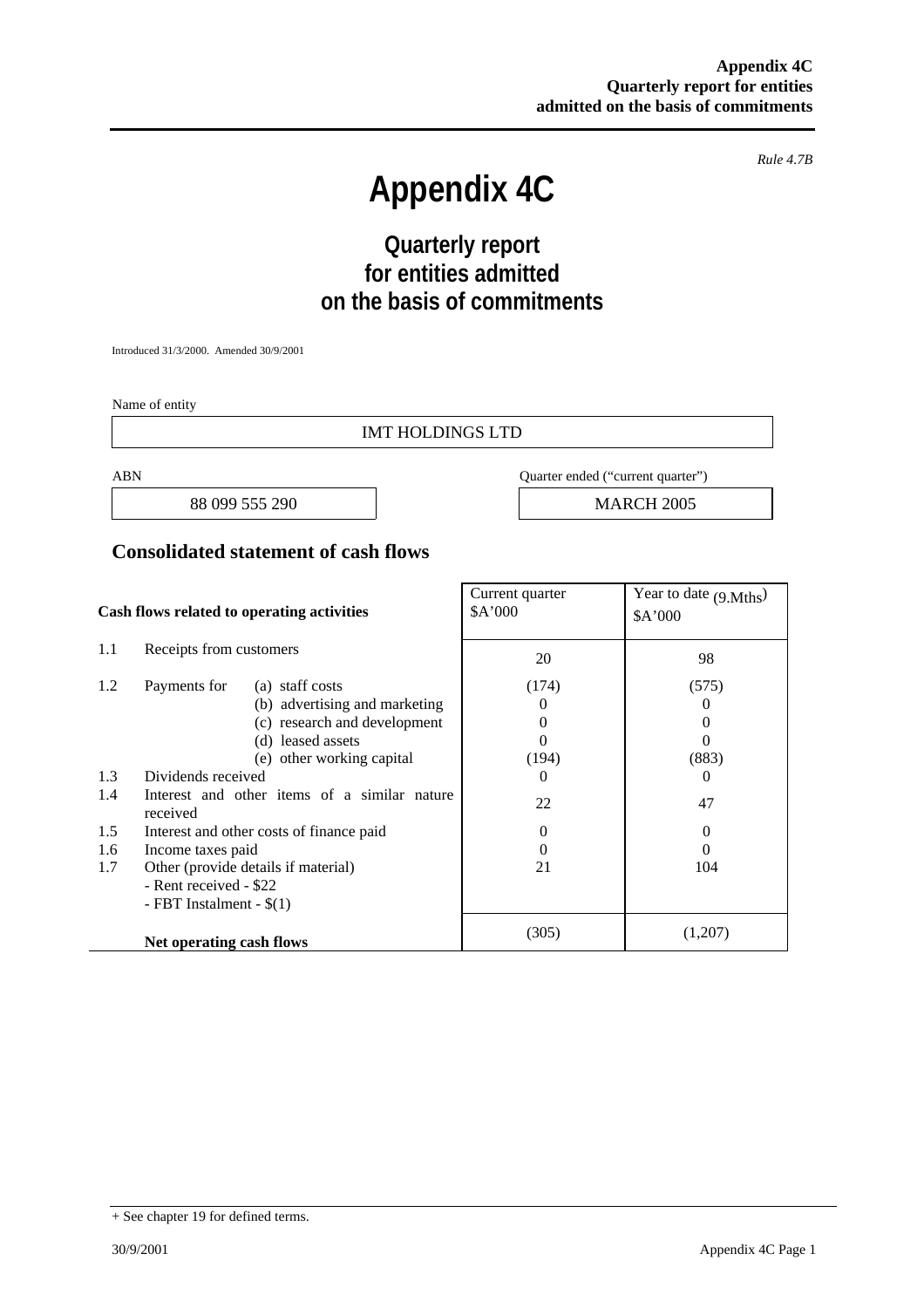*Rule 4.7B* 

# **Appendix 4C**

## **Quarterly report for entities admitted on the basis of commitments**

Introduced 31/3/2000. Amended 30/9/2001

Name of entity

#### IMT HOLDINGS LTD

88 099 555 290 **MARCH 2005** 

ABN Quarter ended ("current quarter")

#### **Consolidated statement of cash flows**

| Cash flows related to operating activities |                                                          | Current quarter<br>\$A'000 | Year to date $(9 \text{Mths})$<br>\$A'000 |
|--------------------------------------------|----------------------------------------------------------|----------------------------|-------------------------------------------|
| 1.1                                        | Receipts from customers                                  | 20                         | 98                                        |
| 1.2                                        | Payments for<br>(a) staff costs                          | (174)                      | (575)                                     |
|                                            | (b) advertising and marketing                            | $\theta$                   | $\theta$                                  |
|                                            | (c) research and development                             | $\theta$                   | $\theta$                                  |
|                                            | (d) leased assets                                        | 0                          | $\theta$                                  |
|                                            | (e) other working capital                                | (194)                      | (883)                                     |
| 1.3                                        | Dividends received                                       | $\Omega$                   | $\theta$                                  |
| 1.4                                        | Interest and other items of a similar nature<br>received | 22                         | 47                                        |
| 1.5                                        | Interest and other costs of finance paid                 | $\theta$                   | $\theta$                                  |
| 1.6                                        | Income taxes paid                                        | 0                          | $\Omega$                                  |
| 1.7                                        | Other (provide details if material)                      | 21                         | 104                                       |
|                                            | - Rent received - \$22                                   |                            |                                           |
|                                            | - FBT Instalment - $$(1)$                                |                            |                                           |
|                                            | Net operating cash flows                                 | (305)                      | (1,207)                                   |

<sup>+</sup> See chapter 19 for defined terms.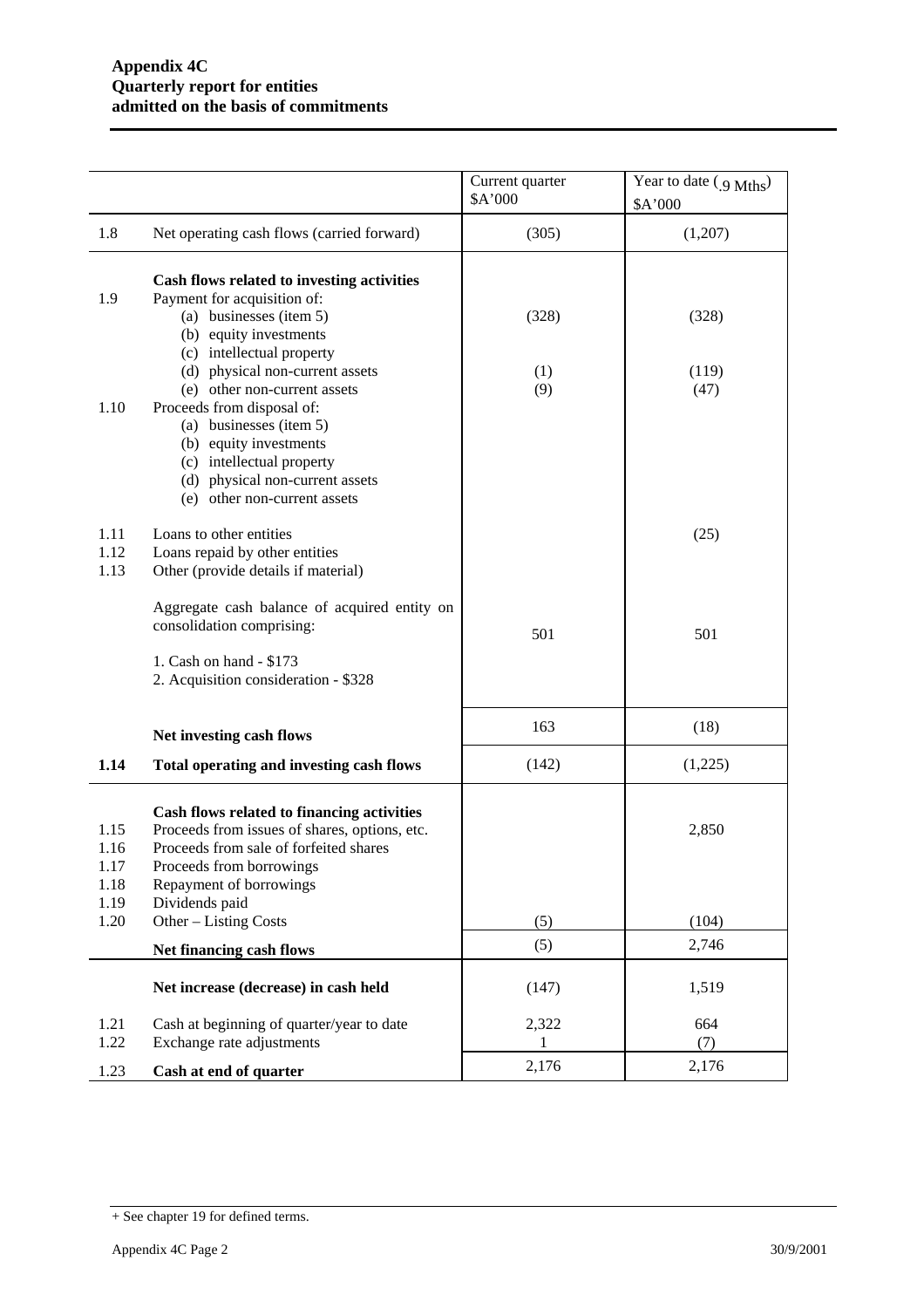|                                      |                                                                                                                                                                                                                                                              | Current quarter<br>\$A'000 | Year to date $(g \text{ Mths})$<br>\$A'000 |
|--------------------------------------|--------------------------------------------------------------------------------------------------------------------------------------------------------------------------------------------------------------------------------------------------------------|----------------------------|--------------------------------------------|
| 1.8                                  | Net operating cash flows (carried forward)                                                                                                                                                                                                                   | (305)                      | (1,207)                                    |
| 1.9<br>1.10                          | Cash flows related to investing activities<br>Payment for acquisition of:<br>(a) businesses (item 5)<br>(b) equity investments<br>(c) intellectual property<br>(d) physical non-current assets<br>(e) other non-current assets<br>Proceeds from disposal of: | (328)<br>(1)<br>(9)        | (328)<br>(119)<br>(47)                     |
|                                      | (a) businesses (item 5)<br>(b) equity investments<br>(c) intellectual property<br>(d) physical non-current assets<br>(e) other non-current assets                                                                                                            |                            |                                            |
| 1.11<br>1.12<br>1.13                 | Loans to other entities<br>Loans repaid by other entities<br>Other (provide details if material)                                                                                                                                                             |                            | (25)                                       |
|                                      | Aggregate cash balance of acquired entity on<br>consolidation comprising:                                                                                                                                                                                    | 501                        | 501                                        |
|                                      | 1. Cash on hand - \$173<br>2. Acquisition consideration - \$328                                                                                                                                                                                              |                            |                                            |
|                                      | Net investing cash flows                                                                                                                                                                                                                                     | 163                        | (18)                                       |
| 1.14                                 | Total operating and investing cash flows                                                                                                                                                                                                                     | (142)                      | (1,225)                                    |
| 1.15<br>1.16<br>1.17<br>1.18<br>1.19 | Cash flows related to financing activities<br>Proceeds from issues of shares, options, etc.<br>Proceeds from sale of forfeited shares<br>Proceeds from borrowings<br>Repayment of borrowings<br>Dividends paid                                               |                            | 2,850                                      |
| 1.20                                 | Other - Listing Costs                                                                                                                                                                                                                                        | (5)                        | (104)                                      |
|                                      | Net financing cash flows                                                                                                                                                                                                                                     | (5)                        | 2,746                                      |
|                                      | Net increase (decrease) in cash held                                                                                                                                                                                                                         | (147)                      | 1,519                                      |
| 1.21<br>1.22                         | Cash at beginning of quarter/year to date<br>Exchange rate adjustments                                                                                                                                                                                       | 2,322<br>1                 | 664<br>(7)                                 |
| 1.23                                 | Cash at end of quarter                                                                                                                                                                                                                                       | 2,176                      | 2,176                                      |

<sup>+</sup> See chapter 19 for defined terms.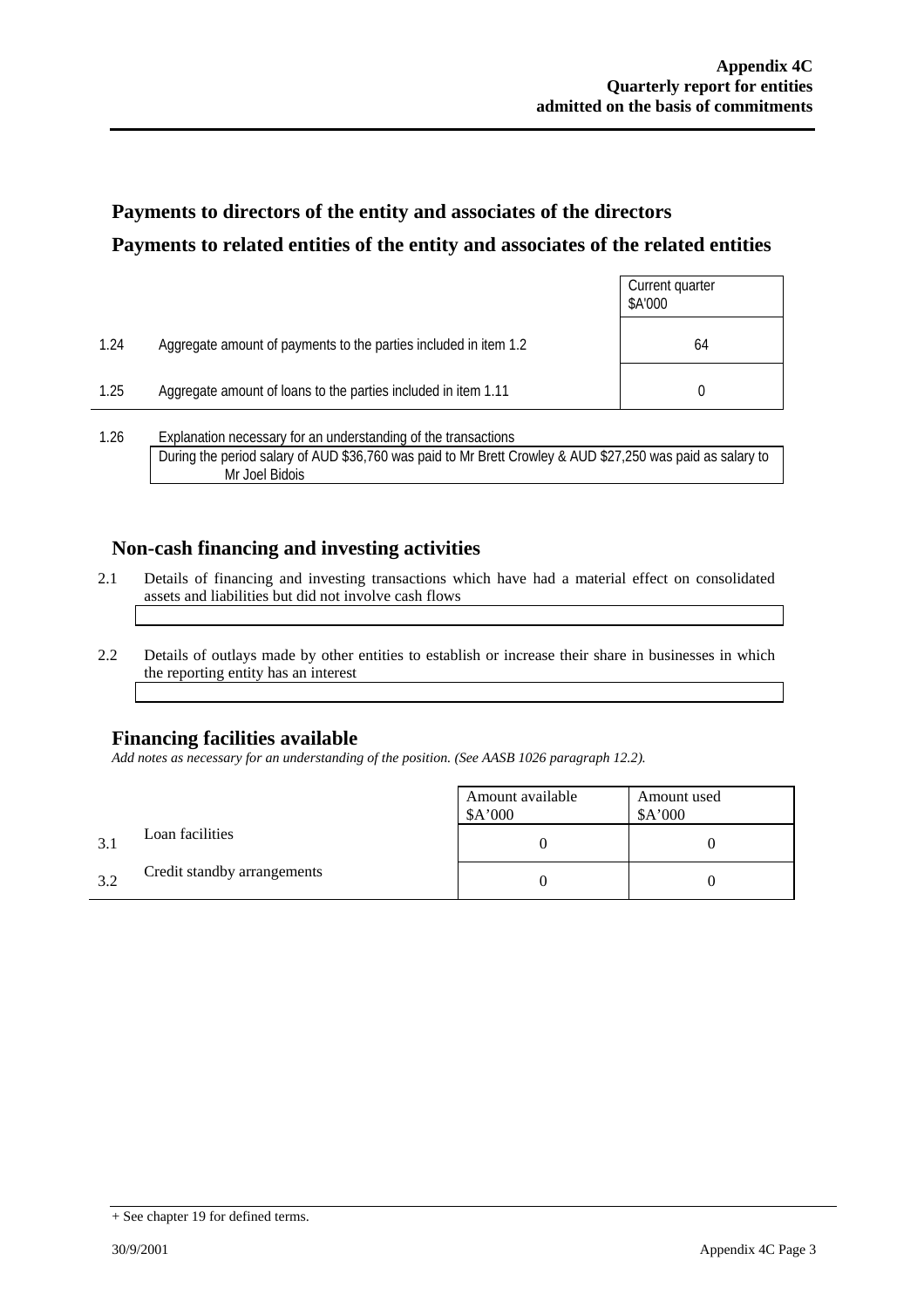### **Payments to directors of the entity and associates of the directors Payments to related entities of the entity and associates of the related entities**

|      |                                                                  | Current quarter<br>\$A'000 |
|------|------------------------------------------------------------------|----------------------------|
| 1.24 | Aggregate amount of payments to the parties included in item 1.2 | 64                         |
| 1.25 | Aggregate amount of loans to the parties included in item 1.11   |                            |
| 1 26 | Explanation necessary for an understanding of the transactions   |                            |

1.26 Explanation necessary for an understanding of the transactions During the period salary of AUD \$36,760 was paid to Mr Brett Crowley & AUD \$27,250 was paid as salary to Mr Joel Bidois

### **Non-cash financing and investing activities**

- 2.1 Details of financing and investing transactions which have had a material effect on consolidated assets and liabilities but did not involve cash flows
- 2.2 Details of outlays made by other entities to establish or increase their share in businesses in which the reporting entity has an interest

### **Financing facilities available**

*Add notes as necessary for an understanding of the position. (See AASB 1026 paragraph 12.2).* 

|     |                             | Amount available<br>A'000 | Amount used<br>\$A'000 |
|-----|-----------------------------|---------------------------|------------------------|
| 3.1 | Loan facilities             |                           |                        |
| 3.2 | Credit standby arrangements |                           |                        |

<sup>+</sup> See chapter 19 for defined terms.